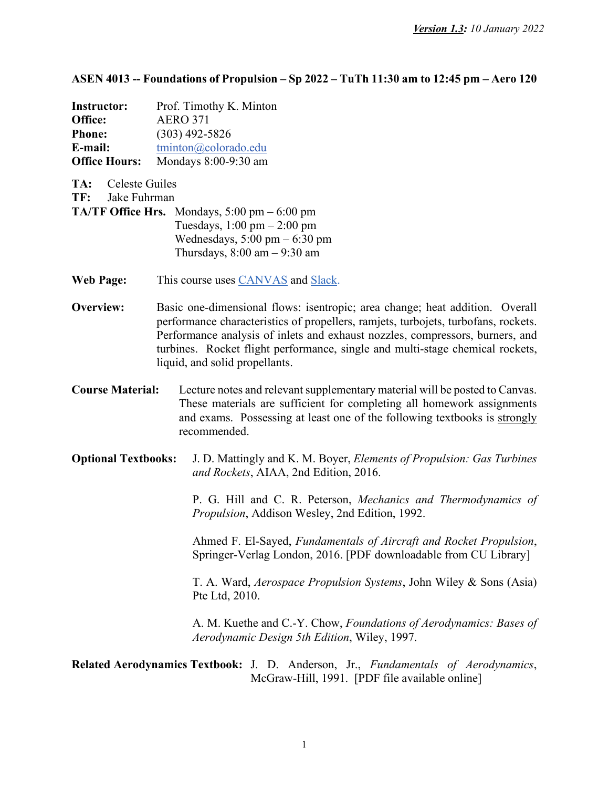**ASEN 4013 -- Foundations of Propulsion – Sp 2022 – TuTh 11:30 am to 12:45 pm – Aero 120**

| <b>Instructor:</b>   | Prof. Timothy K. Minton |
|----------------------|-------------------------|
| Office:              | <b>AERO 371</b>         |
| <b>Phone:</b>        | $(303)$ 492-5826        |
| E-mail:              | tminton@colorado.edu    |
| <b>Office Hours:</b> | Mondays 8:00-9:30 am    |

**TA:** Celeste Guiles

**TF:** Jake Fuhrman

- **TA/TF Office Hrs.** Mondays,  $5:00 \text{ pm} 6:00 \text{ pm}$ Tuesdays, 1:00 pm – 2:00 pm Wednesdays,  $5:00 \text{ pm} - 6:30 \text{ pm}$ Thursdays,  $8:00 \text{ am} - 9:30 \text{ am}$
- **Web Page:** This course uses [CANVAS](https://canvas.colorado.edu/) and [Slack.](https://join.slack.com/t/slack-kbk4289/shared_invite/zt-11ikl5fg1-Y%7E2X_WUT8Su0ELPu%7EKTxLg)
- **Overview:** Basic one-dimensional flows: isentropic; area change; heat addition. Overall performance characteristics of propellers, ramjets, turbojets, turbofans, rockets. Performance analysis of inlets and exhaust nozzles, compressors, burners, and turbines. Rocket flight performance, single and multi-stage chemical rockets, liquid, and solid propellants.
- **Course Material:** Lecture notes and relevant supplementary material will be posted to Canvas. These materials are sufficient for completing all homework assignments and exams. Possessing at least one of the following textbooks is strongly recommended.
- **Optional Textbooks:** J. D. Mattingly and K. M. Boyer, *Elements of Propulsion: Gas Turbines and Rockets*, AIAA, 2nd Edition, 2016.

P. G. Hill and C. R. Peterson, *Mechanics and Thermodynamics of Propulsion*, Addison Wesley, 2nd Edition, 1992.

Ahmed F. El-Sayed, *Fundamentals of Aircraft and Rocket Propulsion*, Springer-Verlag London, 2016. [PDF downloadable from CU Library]

T. A. Ward, *Aerospace Propulsion Systems*, John Wiley & Sons (Asia) Pte Ltd, 2010.

A. M. Kuethe and C.-Y. Chow, *Foundations of Aerodynamics: Bases of Aerodynamic Design 5th Edition*, Wiley, 1997.

## **Related Aerodynamics Textbook:** J. D. Anderson, Jr., *Fundamentals of Aerodynamics*, McGraw-Hill, 1991. [PDF file available online]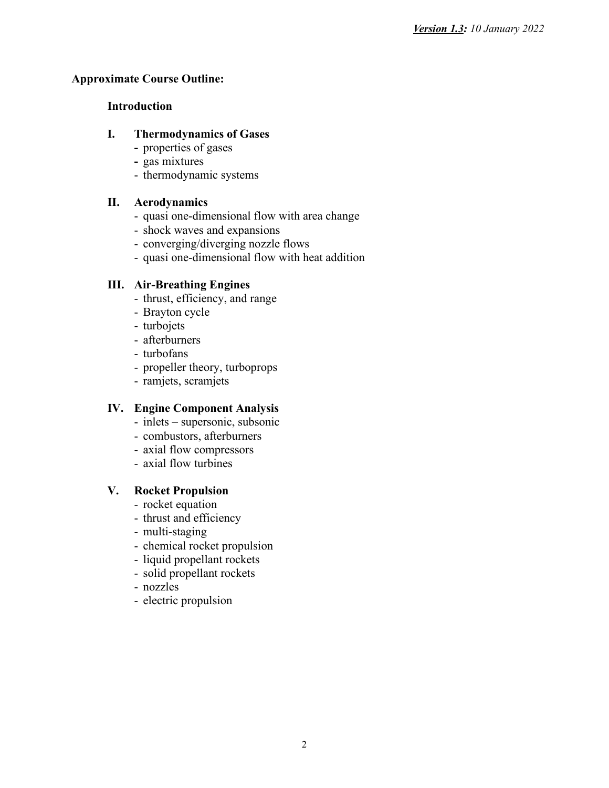# **Approximate Course Outline:**

### **Introduction**

# **I. Thermodynamics of Gases**

- **-** properties of gases
- **-** gas mixtures
- thermodynamic systems

# **II. Aerodynamics**

- quasi one-dimensional flow with area change
- shock waves and expansions
- converging/diverging nozzle flows
- quasi one-dimensional flow with heat addition

# **III. Air-Breathing Engines**

- thrust, efficiency, and range
- Brayton cycle
- turbojets
- afterburners
- turbofans
- propeller theory, turboprops
- ramjets, scramjets

# **IV. Engine Component Analysis**

- inlets supersonic, subsonic
- combustors, afterburners
- axial flow compressors
- axial flow turbines

# **V. Rocket Propulsion**

- rocket equation
- thrust and efficiency
- multi-staging
- chemical rocket propulsion
- liquid propellant rockets
- solid propellant rockets
- nozzles
- electric propulsion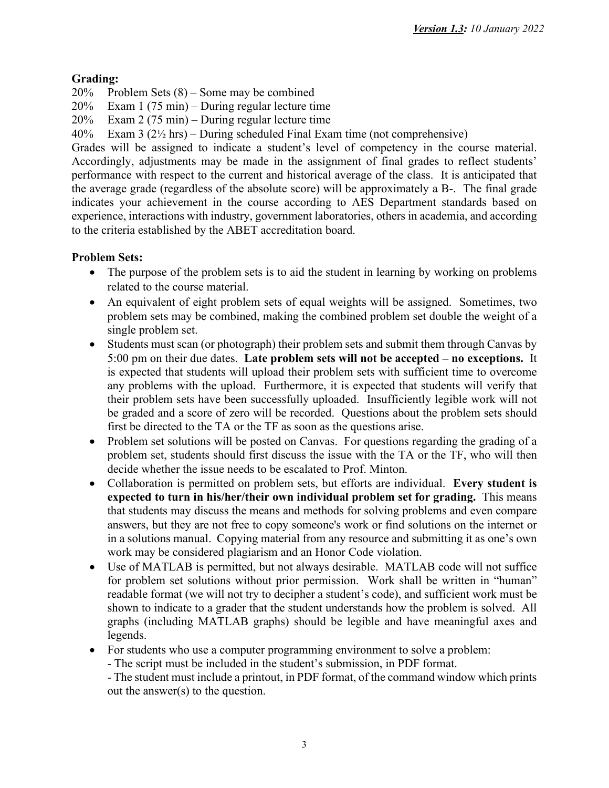# **Grading:**

20% Problem Sets (8) – Some may be combined

20% Exam 1 (75 min) – During regular lecture time

20% Exam 2 (75 min) – During regular lecture time

40% Exam 3 (2½ hrs) – During scheduled Final Exam time (not comprehensive)

Grades will be assigned to indicate a student's level of competency in the course material. Accordingly, adjustments may be made in the assignment of final grades to reflect students' performance with respect to the current and historical average of the class. It is anticipated that the average grade (regardless of the absolute score) will be approximately a B-. The final grade indicates your achievement in the course according to AES Department standards based on experience, interactions with industry, government laboratories, others in academia, and according to the criteria established by the ABET accreditation board.

# **Problem Sets:**

- The purpose of the problem sets is to aid the student in learning by working on problems related to the course material.
- An equivalent of eight problem sets of equal weights will be assigned. Sometimes, two problem sets may be combined, making the combined problem set double the weight of a single problem set.
- Students must scan (or photograph) their problem sets and submit them through Canvas by 5:00 pm on their due dates. **Late problem sets will not be accepted – no exceptions.** It is expected that students will upload their problem sets with sufficient time to overcome any problems with the upload. Furthermore, it is expected that students will verify that their problem sets have been successfully uploaded. Insufficiently legible work will not be graded and a score of zero will be recorded. Questions about the problem sets should first be directed to the TA or the TF as soon as the questions arise.
- Problem set solutions will be posted on Canvas. For questions regarding the grading of a problem set, students should first discuss the issue with the TA or the TF, who will then decide whether the issue needs to be escalated to Prof. Minton.
- Collaboration is permitted on problem sets, but efforts are individual. **Every student is expected to turn in his/her/their own individual problem set for grading.** This means that students may discuss the means and methods for solving problems and even compare answers, but they are not free to copy someone's work or find solutions on the internet or in a solutions manual. Copying material from any resource and submitting it as one's own work may be considered plagiarism and an Honor Code violation.
- Use of MATLAB is permitted, but not always desirable. MATLAB code will not suffice for problem set solutions without prior permission. Work shall be written in "human" readable format (we will not try to decipher a student's code), and sufficient work must be shown to indicate to a grader that the student understands how the problem is solved. All graphs (including MATLAB graphs) should be legible and have meaningful axes and legends.
- For students who use a computer programming environment to solve a problem:
	- The script must be included in the student's submission, in PDF format.

- The student must include a printout, in PDF format, of the command window which prints out the answer(s) to the question.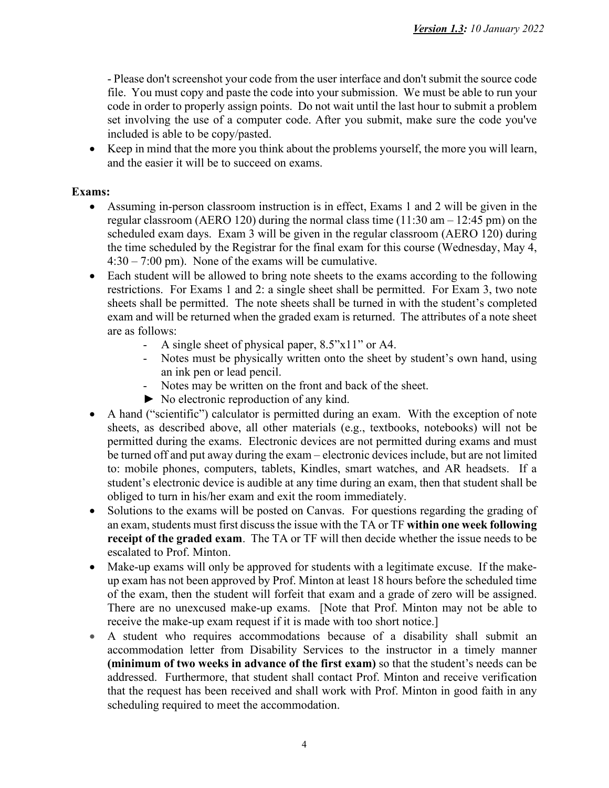- Please don't screenshot your code from the user interface and don't submit the source code file. You must copy and paste the code into your submission. We must be able to run your code in order to properly assign points. Do not wait until the last hour to submit a problem set involving the use of a computer code. After you submit, make sure the code you've included is able to be copy/pasted.

• Keep in mind that the more you think about the problems yourself, the more you will learn, and the easier it will be to succeed on exams.

# **Exams:**

- Assuming in-person classroom instruction is in effect, Exams 1 and 2 will be given in the regular classroom (AERO 120) during the normal class time (11:30 am – 12:45 pm) on the scheduled exam days. Exam 3 will be given in the regular classroom (AERO 120) during the time scheduled by the Registrar for the final exam for this course (Wednesday, May 4, 4:30 – 7:00 pm). None of the exams will be cumulative.
- Each student will be allowed to bring note sheets to the exams according to the following restrictions. For Exams 1 and 2: a single sheet shall be permitted. For Exam 3, two note sheets shall be permitted. The note sheets shall be turned in with the student's completed exam and will be returned when the graded exam is returned. The attributes of a note sheet are as follows:
	- A single sheet of physical paper, 8.5"x11" or A4.
	- Notes must be physically written onto the sheet by student's own hand, using an ink pen or lead pencil.
	- Notes may be written on the front and back of the sheet.
	- ► No electronic reproduction of any kind.
- A hand ("scientific") calculator is permitted during an exam. With the exception of note sheets, as described above, all other materials (e.g., textbooks, notebooks) will not be permitted during the exams. Electronic devices are not permitted during exams and must be turned off and put away during the exam – electronic devices include, but are not limited to: mobile phones, computers, tablets, Kindles, smart watches, and AR headsets. If a student's electronic device is audible at any time during an exam, then that student shall be obliged to turn in his/her exam and exit the room immediately.
- Solutions to the exams will be posted on Canvas. For questions regarding the grading of an exam, students must first discuss the issue with the TA or TF **within one week following receipt of the graded exam**. The TA or TF will then decide whether the issue needs to be escalated to Prof. Minton.
- Make-up exams will only be approved for students with a legitimate excuse. If the makeup exam has not been approved by Prof. Minton at least 18 hours before the scheduled time of the exam, then the student will forfeit that exam and a grade of zero will be assigned. There are no unexcused make-up exams. [Note that Prof. Minton may not be able to receive the make-up exam request if it is made with too short notice.]
- A student who requires accommodations because of a disability shall submit an accommodation letter from Disability Services to the instructor in a timely manner **(minimum of two weeks in advance of the first exam)** so that the student's needs can be addressed. Furthermore, that student shall contact Prof. Minton and receive verification that the request has been received and shall work with Prof. Minton in good faith in any scheduling required to meet the accommodation.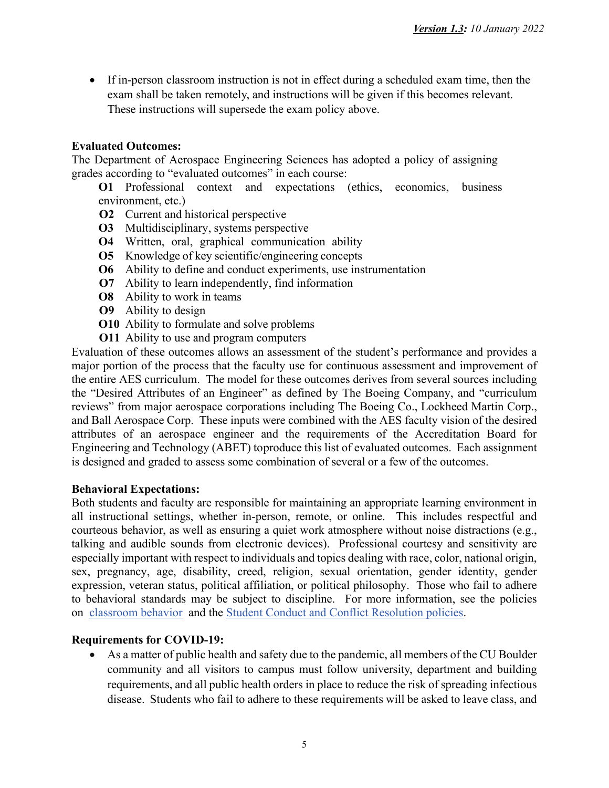• If in-person classroom instruction is not in effect during a scheduled exam time, then the exam shall be taken remotely, and instructions will be given if this becomes relevant. These instructions will supersede the exam policy above.

# **Evaluated Outcomes:**

The Department of Aerospace Engineering Sciences has adopted a policy of assigning grades according to "evaluated outcomes" in each course:

**O1** Professional context and expectations (ethics, economics, business environment, etc.)

- **O2** Current and historical perspective
- **O3** Multidisciplinary, systems perspective
- **O4** Written, oral, graphical communication ability
- **O5** Knowledge of key scientific/engineering concepts
- **O6** Ability to define and conduct experiments, use instrumentation
- **O7** Ability to learn independently, find information
- **O8** Ability to work in teams
- **O9** Ability to design
- **O10** Ability to formulate and solve problems
- **O11** Ability to use and program computers

Evaluation of these outcomes allows an assessment of the student's performance and provides a major portion of the process that the faculty use for continuous assessment and improvement of the entire AES curriculum. The model for these outcomes derives from several sources including the "Desired Attributes of an Engineer" as defined by The Boeing Company, and "curriculum reviews" from major aerospace corporations including The Boeing Co., Lockheed Martin Corp., and Ball Aerospace Corp. These inputs were combined with the AES faculty vision of the desired attributes of an aerospace engineer and the requirements of the Accreditation Board for Engineering and Technology (ABET) toproduce this list of evaluated outcomes. Each assignment is designed and graded to assess some combination of several or a few of the outcomes.

#### **Behavioral Expectations:**

Both students and faculty are responsible for maintaining an appropriate learning environment in all instructional settings, whether in-person, remote, or online. This includes respectful and courteous behavior, as well as ensuring a quiet work atmosphere without noise distractions (e.g., talking and audible sounds from electronic devices). Professional courtesy and sensitivity are especially important with respect to individuals and topics dealing with race, color, national origin, sex, pregnancy, age, disability, creed, religion, sexual orientation, gender identity, gender expression, veteran status, political affiliation, or political philosophy. Those who fail to adhere to behavioral standards may be subject to discipline. For more information, see the policies on [classroom behavior](http://www.colorado.edu/policies/student-classroom-and-course-related-behavior) and the Student Conduct and Conflict Resolution policies.

#### **Requirements for COVID-19:**

• As a matter of public health and safety due to the pandemic, all members of the CU Boulder community and all visitors to campus must follow university, department and building requirements, and all public health orders in place to reduce the risk of spreading infectious disease. Students who fail to adhere to these requirements will be asked to leave class, and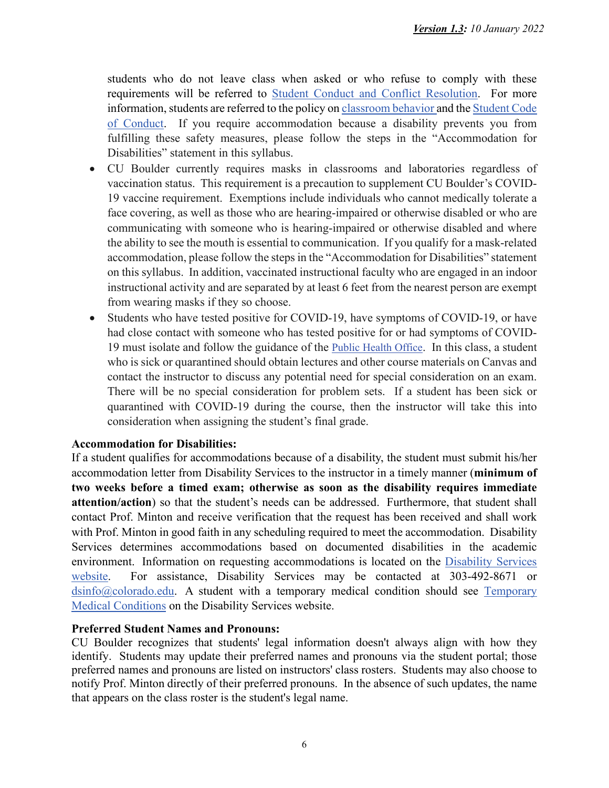students who do not leave class when asked or who refuse to comply with these requirements will be referred t[o](https://www.colorado.edu/sccr/) [Student Conduct and Conflict Resolution.](https://www.colorado.edu/sccr/) For more i[n](https://www.colorado.edu/policies/covid-19-health-and-safety-policy)formation, students are referred to the policy on [classroom behavior](http://www.colorado.edu/policies/student-classroom-and-course-related-behavior) and the Student Code [of Conduct.](http://www.colorado.edu/osccr/) If you require accommodation because a disability prevents you from fulfilling these safety measures, please follow the steps in the "Accommodation for Disabilities" statement in this syllabus.

- CU Boulder currently requires masks in classrooms and laboratories regardless of vaccination status. This requirement is a precaution to supplement CU Boulder's COVID-19 vaccine requirement. Exemptions include individuals who cannot medically tolerate a face covering, as well as those who are hearing-impaired or otherwise disabled or who are communicating with someone who is hearing-impaired or otherwise disabled and where the ability to see the mouth is essential to communication. If you qualify for a mask-related accommodation, please follow the steps in the "Accommodation for Disabilities" statement on this syllabus. In addition, vaccinated instructional faculty who are engaged in an indoor instructional activity and are separated by at least 6 feet from the nearest person are exempt from wearing masks if they so choose.
- Students who have tested positive for COVID-19, have symptoms of COVID-19, or have had close contact with someone who has tested positive for or had symptoms of COVID-19 must isolate and follow the guidance of the [Public Health Office.](https://www.colorado.edu/health/public-health/quarantine-and-isolation) In this class, a student who is sick or quarantined should obtain lectures and other course materials on Canvas and contact the instructor to discuss any potential need for special consideration on an exam. There will be no special consideration for problem sets. If a student has been sick or quarantined with COVID-19 during the course, then the instructor will take this into consideration when assigning the student's final grade.

# **Accommodation for Disabilities:**

If a student qualifies for accommodations because of a disability, the student must submit his/her accommodation letter from Disability Services to the instructor in a timely manner (**minimum of two weeks before a timed exam; otherwise as soon as the disability requires immediate attention/action**) so that the student's needs can be addressed. Furthermore, that student shall contact Prof. Minton and receive verification that the request has been received and shall work with Prof. Minton in good faith in any scheduling required to meet the accommodation. Disability Services determines accommodations based on documented disabilities in the academic environment. Information on requesting accommodations is located on the [Disability Services](https://www.colorado.edu/disabilityservices/)  [website.](https://www.colorado.edu/disabilityservices/) For assistance, Disability Services may be contacted at 303-492-8671 or [dsinfo@colorado.edu.](mailto:dsinfo@colorado.edu) A student with a temporary medical condition should see [Temporary](http://www.colorado.edu/disabilityservices/students/temporary-medical-conditions)  [Medical Conditions](http://www.colorado.edu/disabilityservices/students/temporary-medical-conditions) on the Disability Services website.

#### **Preferred Student Names and Pronouns:**

CU Boulder recognizes that students' legal information doesn't always align with how they identify. Students may update their preferred names and pronouns via the student portal; those preferred names and pronouns are listed on instructors' class rosters. Students may also choose to notify Prof. Minton directly of their preferred pronouns. In the absence of such updates, the name that appears on the class roster is the student's legal name.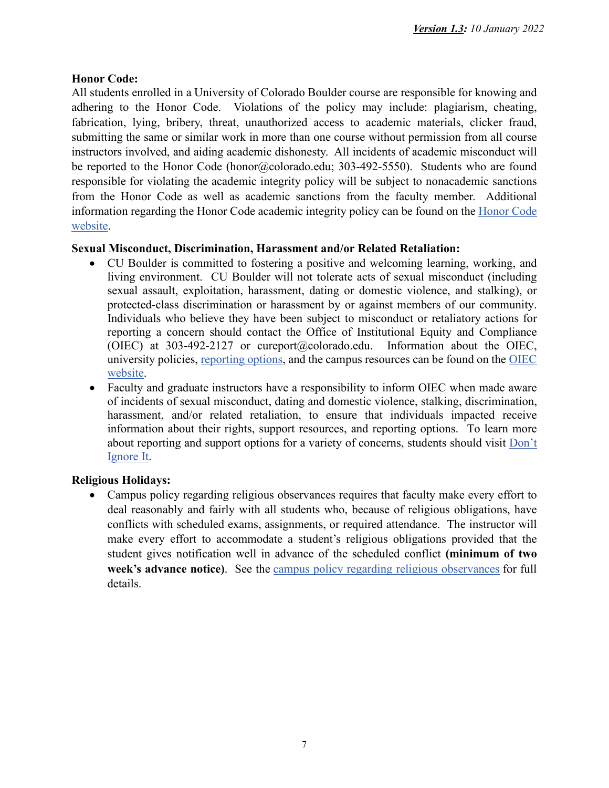# **Honor Code:**

All students enrolled in a University of Colorado Boulder course are responsible for knowing and adhering to the Honor Code. Violations of the policy may include: plagiarism, cheating, fabrication, lying, bribery, threat, unauthorized access to academic materials, clicker fraud, submitting the same or similar work in more than one course without permission from all course instructors involved, and aiding academic dishonesty. All incidents of academic misconduct will be reported to the Honor Code (honor@colorado.edu; 303-492-5550). Students who are found responsible for violating the academic integrity policy will be subject to nonacademic sanctions from the Honor Code as well as academic sanctions from the faculty member. Additional information regarding the Honor Code academic integrity policy can be found on the [Honor Code](https://www.colorado.edu/sccr/honor-code-faculty-and-staff)  [website.](https://www.colorado.edu/sccr/honor-code-faculty-and-staff)

# **Sexual Misconduct, Discrimination, Harassment and/or Related Retaliation:**

- CU Boulder is committed to fostering a positive and welcoming learning, working, and living environment. CU Boulder will not tolerate acts of sexual misconduct (including sexual assault, exploitation, harassment, dating or domestic violence, and stalking), or protected-class discrimination or harassment by or against members of our community. Individuals who believe they have been subject to misconduct or retaliatory actions for reporting a concern should contact the Office of Institutional Equity and Compliance (OIEC) at 303-492-2127 or cureport@colorado.edu. Information about the OIEC, university policies, [reporting](https://www.colorado.edu/oiec/reporting-resolutions/making-report) options, and the campus resources can be found on the [OIEC](http://www.colorado.edu/institutionalequity/)  [website.](http://www.colorado.edu/institutionalequity/)
- Faculty and graduate instructors have a responsibility to inform OIEC when made aware of incidents of sexual misconduct, dating and domestic violence, stalking, discrimination, harassment, and/or related retaliation, to ensure that individuals impacted receive information about their rights, support resources, and reporting options. To learn more about reporting and support options for a variety of concerns, students should visit [Don't](https://www.colorado.edu/dontignoreit/)  [Ignore It.](https://www.colorado.edu/dontignoreit/)

# **Religious Holidays:**

• Campus policy regarding religious observances requires that faculty make every effort to deal reasonably and fairly with all students who, because of religious obligations, have conflicts with scheduled exams, assignments, or required attendance. The instructor will make every effort to accommodate a student's religious obligations provided that the student gives notification well in advance of the scheduled conflict **(minimum of two week's advance notice)**. See the [campus policy regarding religious observances](http://www.colorado.edu/policies/observance-religious-holidays-and-absences-classes-andor-exams) for full details.